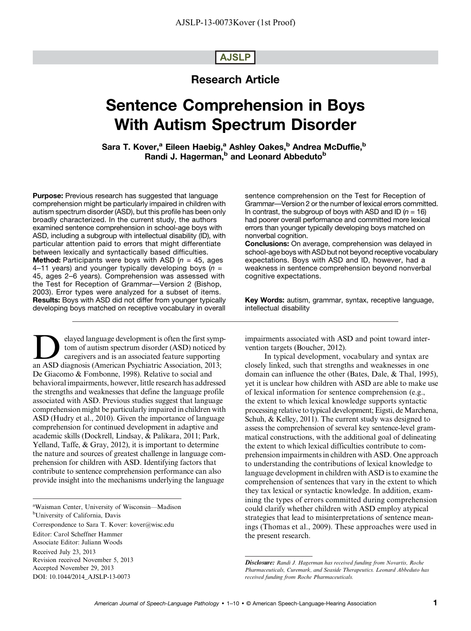# AJSLP

# Research Article

# Sentence Comprehension in Boys With Autism Spectrum Disorder

Sara T. Kover,<sup>a</sup> Eileen Haebig,<sup>a</sup> Ashley Oakes,<sup>b</sup> Andrea McDuffie,<sup>b</sup> Randi J. Hagerman,<sup>b</sup> and Leonard Abbeduto<sup>b</sup>

Purpose: Previous research has suggested that language comprehension might be particularly impaired in children with autism spectrum disorder (ASD), but this profile has been only broadly characterized. In the current study, the authors examined sentence comprehension in school-age boys with ASD, including a subgroup with intellectual disability (ID), with particular attention paid to errors that might differentiate between lexically and syntactically based difficulties. **Method:** Participants were boys with ASD ( $n = 45$ , ages 4–11 years) and younger typically developing boys ( $n =$ 45, ages 2–6 years). Comprehension was assessed with the Test for Reception of Grammar—Version 2 (Bishop, 2003). Error types were analyzed for a subset of items. Results: Boys with ASD did not differ from younger typically developing boys matched on receptive vocabulary in overall

elayed language development is often the first symptom of autism spectrum disorder (ASD) noticed by caregivers and is an associated feature supporting an ASD diagnosis (American Psychiatric Association, 2013; De Giacomo & Fombonne, 1998). Relative to social and behavioral impairments, however, little research has addressed the strengths and weaknesses that define the language profile associated with ASD. Previous studies suggest that language comprehension might be particularly impaired in children with ASD (Hudry et al., 2010). Given the importance of language comprehension for continued development in adaptive and academic skills (Dockrell, Lindsay, & Palikara, 2011; Park, Yelland, Taffe, & Gray, 2012), it is important to determine the nature and sources of greatest challenge in language comprehension for children with ASD. Identifying factors that contribute to sentence comprehension performance can also provide insight into the mechanisms underlying the language

<sup>a</sup>Waisman Center, University of Wisconsin—Madison University of California, Davis

Correspondence to Sara T. Kover: kover@wisc.edu

Editor: Carol Scheffner Hammer

Associate Editor: Juliann Woods

Received July 23, 2013

Revision received November 5, 2013

Accepted November 29, 2013 DOI: 10.1044/2014\_AJSLP-13-0073 sentence comprehension on the Test for Reception of Grammar—Version 2 or the number of lexical errors committed. In contrast, the subgroup of boys with ASD and ID  $(n = 16)$ had poorer overall performance and committed more lexical errors than younger typically developing boys matched on nonverbal cognition.

Conclusions: On average, comprehension was delayed in school-age boys with ASD but not beyond receptive vocabulary expectations. Boys with ASD and ID, however, had a weakness in sentence comprehension beyond nonverbal cognitive expectations.

Key Words: autism, grammar, syntax, receptive language, intellectual disability

impairments associated with ASD and point toward intervention targets (Boucher, 2012).

In typical development, vocabulary and syntax are closely linked, such that strengths and weaknesses in one domain can influence the other (Bates, Dale, & Thal, 1995), yet it is unclear how children with ASD are able to make use of lexical information for sentence comprehension (e.g., the extent to which lexical knowledge supports syntactic processing relative to typical development; Eigsti, deMarchena, Schuh, & Kelley, 2011). The current study was designed to assess the comprehension of several key sentence-level grammatical constructions, with the additional goal of delineating the extent to which lexical difficulties contribute to comprehension impairments in children with ASD. One approach to understanding the contributions of lexical knowledge to language development in children with ASD is to examine the comprehension of sentences that vary in the extent to which they tax lexical or syntactic knowledge. In addition, examining the types of errors committed during comprehension could clarify whether children with ASD employ atypical strategies that lead to misinterpretations of sentence meanings (Thomas et al., 2009). These approaches were used in the present research.

Disclosure: Randi J. Hagerman has received funding from Novartis, Roche Pharmaceuticals, Curemark, and Seaside Therapeutics. Leonard Abbeduto has received funding from Roche Pharmaceuticals.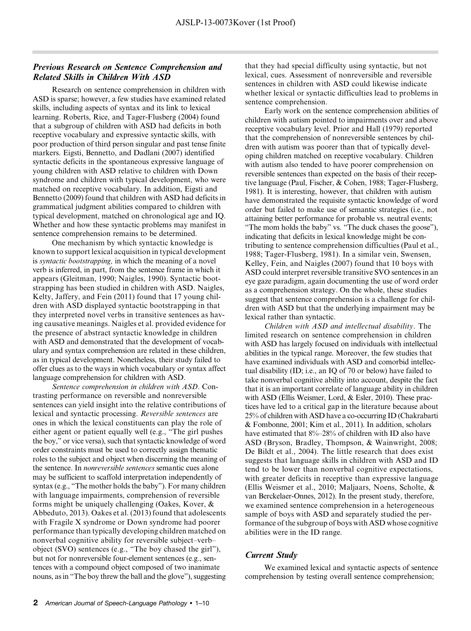#### Previous Research on Sentence Comprehension and Related Skills in Children With ASD

Research on sentence comprehension in children with ASD is sparse; however, a few studies have examined related skills, including aspects of syntax and its link to lexical learning. Roberts, Rice, and Tager-Flusberg (2004) found that a subgroup of children with ASD had deficits in both receptive vocabulary and expressive syntactic skills, with poor production of third person singular and past tense finite markers. Eigsti, Bennetto, and Dadlani (2007) identified syntactic deficits in the spontaneous expressive language of young children with ASD relative to children with Down syndrome and children with typical development, who were matched on receptive vocabulary. In addition, Eigsti and Bennetto (2009) found that children with ASD had deficits in grammatical judgment abilities compared to children with typical development, matched on chronological age and IQ. Whether and how these syntactic problems may manifest in sentence comprehension remains to be determined.

One mechanism by which syntactic knowledge is known to support lexical acquisition in typical development is syntactic bootstrapping, in which the meaning of a novel verb is inferred, in part, from the sentence frame in which it appears (Gleitman, 1990; Naigles, 1990). Syntactic bootstrapping has been studied in children with ASD. Naigles, Kelty, Jaffery, and Fein (2011) found that 17 young children with ASD displayed syntactic bootstrapping in that they interpreted novel verbs in transitive sentences as having causative meanings. Naigles et al. provided evidence for the presence of abstract syntactic knowledge in children with ASD and demonstrated that the development of vocabulary and syntax comprehension are related in these children, as in typical development. Nonetheless, their study failed to offer clues as to the ways in which vocabulary or syntax affect language comprehension for children with ASD.

Sentence comprehension in children with ASD. Contrasting performance on reversible and nonreversible sentences can yield insight into the relative contributions of lexical and syntactic processing. Reversible sentences are ones in which the lexical constituents can play the role of either agent or patient equally well (e.g., "The girl pushes the boy," or vice versa), such that syntactic knowledge of word order constraints must be used to correctly assign thematic roles to the subject and object when discerning the meaning of the sentence. In nonreversible sentences semantic cues alone may be sufficient to scaffold interpretation independently of syntax (e.g., "The mother holds the baby"). For many children with language impairments, comprehension of reversible forms might be uniquely challenging (Oakes, Kover, & Abbeduto, 2013). Oakes et al. (2013) found that adolescents with Fragile X syndrome or Down syndrome had poorer performance than typically developing children matched on nonverbal cognitive ability for reversible subject–verb– object (SVO) sentences (e.g., "The boy chased the girl"), but not for nonreversible four-element sentences (e.g., sentences with a compound object composed of two inanimate nouns, as in "The boy threw the ball and the glove"), suggesting that they had special difficulty using syntactic, but not lexical, cues. Assessment of nonreversible and reversible sentences in children with ASD could likewise indicate whether lexical or syntactic difficulties lead to problems in sentence comprehension.

Early work on the sentence comprehension abilities of children with autism pointed to impairments over and above receptive vocabulary level. Prior and Hall (1979) reported that the comprehension of nonreversible sentences by children with autism was poorer than that of typically developing children matched on receptive vocabulary. Children with autism also tended to have poorer comprehension on reversible sentences than expected on the basis of their receptive language (Paul, Fischer, & Cohen, 1988; Tager-Flusberg, 1981). It is interesting, however, that children with autism have demonstrated the requisite syntactic knowledge of word order but failed to make use of semantic strategies (i.e., not attaining better performance for probable vs. neutral events; "The mom holds the baby" vs. "The duck chases the goose"), indicating that deficits in lexical knowledge might be contributing to sentence comprehension difficulties (Paul et al., 1988; Tager-Flusberg, 1981). In a similar vein, Swensen, Kelley, Fein, and Naigles (2007) found that 10 boys with ASD could interpret reversible transitive SVO sentences in an eye gaze paradigm, again documenting the use of word order as a comprehension strategy. On the whole, these studies suggest that sentence comprehension is a challenge for children with ASD but that the underlying impairment may be lexical rather than syntactic.

Children with ASD and intellectual disability. The limited research on sentence comprehension in children with ASD has largely focused on individuals with intellectual abilities in the typical range. Moreover, the few studies that have examined individuals with ASD and comorbid intellectual disability (ID; i.e., an IQ of 70 or below) have failed to take nonverbal cognitive ability into account, despite the fact that it is an important correlate of language ability in children with ASD (Ellis Weismer, Lord, & Esler, 2010). These practices have led to a critical gap in the literature because about 25% of children with ASD have a co-occurring ID (Chakrabarti & Fombonne, 2001; Kim et al., 2011). In addition, scholars have estimated that  $8\% - 28\%$  of children with ID also have ASD (Bryson, Bradley, Thompson, & Wainwright, 2008; De Bildt et al., 2004). The little research that does exist suggests that language skills in children with ASD and ID tend to be lower than nonverbal cognitive expectations, with greater deficits in receptive than expressive language (Ellis Weismer et al., 2010; Maljaars, Noens, Scholte, & van Berckelaer-Onnes, 2012). In the present study, therefore, we examined sentence comprehension in a heterogeneous sample of boys with ASD and separately studied the performance of the subgroup of boys with ASD whose cognitive abilities were in the ID range.

#### Current Study

We examined lexical and syntactic aspects of sentence comprehension by testing overall sentence comprehension;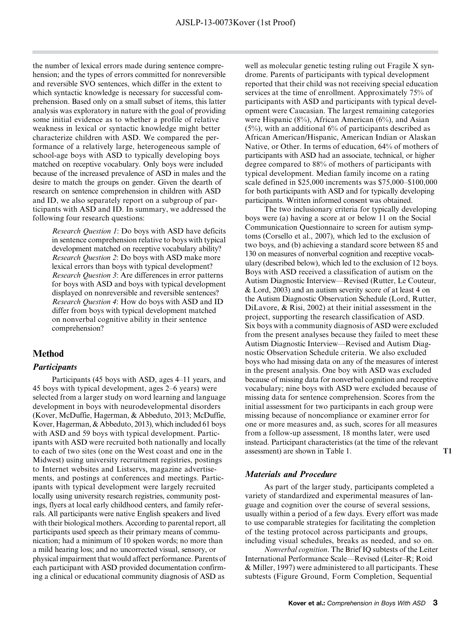the number of lexical errors made during sentence comprehension; and the types of errors committed for nonreversible and reversible SVO sentences, which differ in the extent to which syntactic knowledge is necessary for successful comprehension. Based only on a small subset of items, this latter analysis was exploratory in nature with the goal of providing some initial evidence as to whether a profile of relative weakness in lexical or syntactic knowledge might better characterize children with ASD. We compared the performance of a relatively large, heterogeneous sample of school-age boys with ASD to typically developing boys matched on receptive vocabulary. Only boys were included because of the increased prevalence of ASD in males and the desire to match the groups on gender. Given the dearth of research on sentence comprehension in children with ASD and ID, we also separately report on a subgroup of participants with ASD and ID. In summary, we addressed the following four research questions:

> Research Question 1: Do boys with ASD have deficits in sentence comprehension relative to boys with typical development matched on receptive vocabulary ability? Research Question 2: Do boys with ASD make more lexical errors than boys with typical development? Research Question 3: Are differences in error patterns for boys with ASD and boys with typical development displayed on nonreversible and reversible sentences? Research Question 4: How do boys with ASD and ID differ from boys with typical development matched on nonverbal cognitive ability in their sentence comprehension?

#### Method

#### **Participants**

Participants (45 boys with ASD, ages 4–11 years, and 45 boys with typical development, ages 2–6 years) were selected from a larger study on word learning and language development in boys with neurodevelopmental disorders (Kover, McDuffie, Hagerman, & Abbeduto, 2013; McDuffie, Kover, Hagerman, & Abbeduto, 2013), which included 61 boys with ASD and 59 boys with typical development. Participants with ASD were recruited both nationally and locally to each of two sites (one on the West coast and one in the Midwest) using university recruitment registries, postings to Internet websites and Listservs, magazine advertisements, and postings at conferences and meetings. Participants with typical development were largely recruited locally using university research registries, community postings, flyers at local early childhood centers, and family referrals. All participants were native English speakers and lived with their biological mothers. According to parental report, all participants used speech as their primary means of communication; had a minimum of 10 spoken words; no more than a mild hearing loss; and no uncorrected visual, sensory, or physical impairment that would affect performance. Parents of each participant with ASD provided documentation confirming a clinical or educational community diagnosis of ASD as

well as molecular genetic testing ruling out Fragile X syndrome. Parents of participants with typical development reported that their child was not receiving special education services at the time of enrollment. Approximately 75% of participants with ASD and participants with typical development were Caucasian. The largest remaining categories were Hispanic (8%), African American (6%), and Asian (5%), with an additional 6% of participants described as African American/Hispanic, American Indian or Alaskan Native, or Other. In terms of education, 64% of mothers of participants with ASD had an associate, technical, or higher degree compared to 88% of mothers of participants with typical development. Median family income on a rating scale defined in \$25,000 increments was \$75,000–\$100,000 for both participants with ASD and for typically developing participants. Written informed consent was obtained.

The two inclusionary criteria for typically developing boys were (a) having a score at or below 11 on the Social Communication Questionnaire to screen for autism symptoms (Corsello et al., 2007), which led to the exclusion of two boys, and (b) achieving a standard score between 85 and 130 on measures of nonverbal cognition and receptive vocabulary (described below), which led to the exclusion of 12 boys. Boys with ASD received a classification of autism on the Autism Diagnostic Interview—Revised (Rutter, Le Couteur, & Lord, 2003) and an autism severity score of at least 4 on the Autism Diagnostic Observation Schedule (Lord, Rutter, DiLavore, & Risi, 2002) at their initial assessment in the project, supporting the research classification of ASD. Six boys with a community diagnosis of ASD were excluded from the present analyses because they failed to meet these Autism Diagnostic Interview—Revised and Autism Diagnostic Observation Schedule criteria. We also excluded boys who had missing data on any of the measures of interest in the present analysis. One boy with ASD was excluded because of missing data for nonverbal cognition and receptive vocabulary; nine boys with ASD were excluded because of missing data for sentence comprehension. Scores from the initial assessment for two participants in each group were missing because of noncompliance or examiner error for one or more measures and, as such, scores for all measures from a follow-up assessment, 18 months later, were used instead. Participant characteristics (at the time of the relevant assessment) are shown in Table 1. T1

#### Materials and Procedure

As part of the larger study, participants completed a variety of standardized and experimental measures of language and cognition over the course of several sessions, usually within a period of a few days. Every effort was made to use comparable strategies for facilitating the completion of the testing protocol across participants and groups, including visual schedules, breaks as needed, and so on.

Nonverbal cognition. The Brief IQ subtests of the Leiter International Performance Scale—Revised (Leiter–R; Roid & Miller, 1997) were administered to all participants. These subtests (Figure Ground, Form Completion, Sequential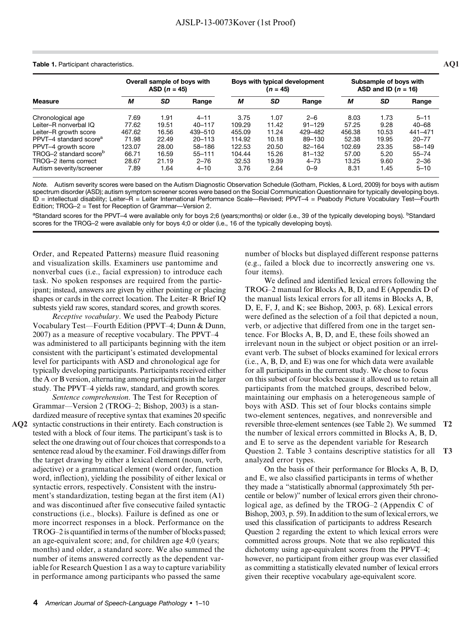#### Table 1. Participant characteristics. And the control of the control of the control of the control of the control of the control of the control of the control of the control of the control of the control of the control of

| <b>Measure</b>                     | Overall sample of boys with<br>ASD $(n = 45)$ |           |            |        | ( <i>n</i> = 45) | Boys with typical development | Subsample of boys with<br>ASD and ID $(n = 16)$ |           |           |
|------------------------------------|-----------------------------------------------|-----------|------------|--------|------------------|-------------------------------|-------------------------------------------------|-----------|-----------|
|                                    | м                                             | <b>SD</b> | Range      | М      | SD               | Range                         | М                                               | <b>SD</b> | Range     |
| Chronological age                  | 7.69                                          | 1.91      | $4 - 11$   | 3.75   | 1.07             | $2 - 6$                       | 8.03                                            | 1.73      | $5 - 11$  |
| Leiter-R nonverbal IQ              | 77.62                                         | 19.51     | $40 - 117$ | 109.29 | 11.42            | $91 - 129$                    | 57.25                                           | 9.28      | $40 - 68$ |
| Leiter-R growth score              | 467.62                                        | 16.56     | 439-510    | 455.09 | 11.24            | 429-482                       | 456.38                                          | 10.53     | 441-471   |
| PPVT-4 standard score <sup>a</sup> | 71.98                                         | 22.49     | $20 - 113$ | 114.92 | 10.18            | 89-130                        | 52.38                                           | 19.95     | $20 - 77$ |
| PPVT-4 growth score                | 123.07                                        | 28.00     | 58-186     | 122.53 | 20.50            | $82 - 164$                    | 102.69                                          | 23.35     | 58-149    |
| TROG-2 standard score <sup>b</sup> | 66.71                                         | 16.59     | $55 - 111$ | 104.44 | 15.26            | $81 - 132$                    | 57.00                                           | 5.20      | $55 - 74$ |
| TROG-2 items correct               | 28.67                                         | 21.19     | $2 - 76$   | 32.53  | 19.39            | $4 - 73$                      | 13.25                                           | 9.60      | $2 - 36$  |
| Autism severity/screener           | 7.89                                          | 1.64      | $4 - 10$   | 3.76   | 2.64             | $0 - 9$                       | 8.31                                            | 1.45      | $5 - 10$  |

Note. Autism severity scores were based on the Autism Diagnostic Observation Schedule (Gotham, Pickles, & Lord, 2009) for boys with autism spectrum disorder (ASD); autism symptom screener scores were based on the Social Communication Questionnaire for typically developing boys. ID = intellectual disability; Leiter–R = Leiter International Performance Scale—Revised; PPVT–4 = Peabody Picture Vocabulary Test—Fourth Edition; TROG–2 = Test for Reception of Grammar—Version 2.

<sup>a</sup>Standard scores for the PPVT–4 were available only for boys 2;6 (years;months) or older (i.e., 39 of the typically developing boys). <sup>b</sup>Standard scores for the TROG–2 were available only for boys 4;0 or older (i.e., 16 of the typically developing boys).

Order, and Repeated Patterns) measure fluid reasoning and visualization skills. Examiners use pantomime and nonverbal cues (i.e., facial expression) to introduce each task. No spoken responses are required from the participant; instead, answers are given by either pointing or placing shapes or cards in the correct location. The Leiter–R Brief IQ subtests yield raw scores, standard scores, and growth scores.

Receptive vocabulary. We used the Peabody Picture Vocabulary Test—Fourth Edition (PPVT–4; Dunn & Dunn, 2007) as a measure of receptive vocabulary. The PPVT–4 was administered to all participants beginning with the item consistent with the participant's estimated developmental level for participants with ASD and chronological age for typically developing participants. Participants received either the A or B version, alternating among participants in the larger study. The PPVT–4 yields raw, standard, and growth scores.

Sentence comprehension. The Test for Reception of Grammar—Version 2 (TROG–2; Bishop, 2003) is a standardized measure of receptive syntax that examines 20 specific

AQ2 syntactic constructions in their entirety. Each construction is tested with a block of four items. The participant's task is to select the one drawing out of four choices that corresponds to a sentence read aloud by the examiner. Foil drawings differ from the target drawing by either a lexical element (noun, verb, adjective) or a grammatical element (word order, function word, inflection), yielding the possibility of either lexical or syntactic errors, respectively. Consistent with the instrument's standardization, testing began at the first item (A1) and was discontinued after five consecutive failed syntactic constructions (i.e., blocks). Failure is defined as one or more incorrect responses in a block. Performance on the TROG–2 is quantified in terms of the number of blocks passed; an age-equivalent score; and, for children age 4;0 (years; months) and older, a standard score. We also summed the number of items answered correctly as the dependent variable for Research Question 1 as a way to capture variability in performance among participants who passed the same

number of blocks but displayed different response patterns (e.g., failed a block due to incorrectly answering one vs. four items).

We defined and identified lexical errors following the TROG–2 manual for Blocks A, B, D, and E (Appendix D of the manual lists lexical errors for all items in Blocks A, B, D, E, F, J, and K; see Bishop, 2003, p. 68). Lexical errors were defined as the selection of a foil that depicted a noun, verb, or adjective that differed from one in the target sentence. For Blocks A, B, D, and E, these foils showed an irrelevant noun in the subject or object position or an irrelevant verb. The subset of blocks examined for lexical errors (i.e., A, B, D, and E) was one for which data were available for all participants in the current study. We chose to focus on this subset of four blocks because it allowed us to retain all participants from the matched groups, described below, maintaining our emphasis on a heterogeneous sample of boys with ASD. This set of four blocks contains simple two-element sentences, negatives, and nonreversible and reversible three-element sentences (see Table 2). We summed T2 the number of lexical errors committed in Blocks A, B, D, and E to serve as the dependent variable for Research Question 2. Table 3 contains descriptive statistics for all T3 analyzed error types.

On the basis of their performance for Blocks A, B, D, and E, we also classified participants in terms of whether they made a "statistically abnormal (approximately 5th percentile or below)" number of lexical errors given their chronological age, as defined by the TROG–2 (Appendix C of Bishop, 2003, p. 59). In addition to the sum of lexical errors, we used this classification of participants to address Research Question 2 regarding the extent to which lexical errors were committed across groups. Note that we also replicated this dichotomy using age-equivalent scores from the PPVT–4; however, no participant from either group was ever classified as committing a statistically elevated number of lexical errors given their receptive vocabulary age-equivalent score.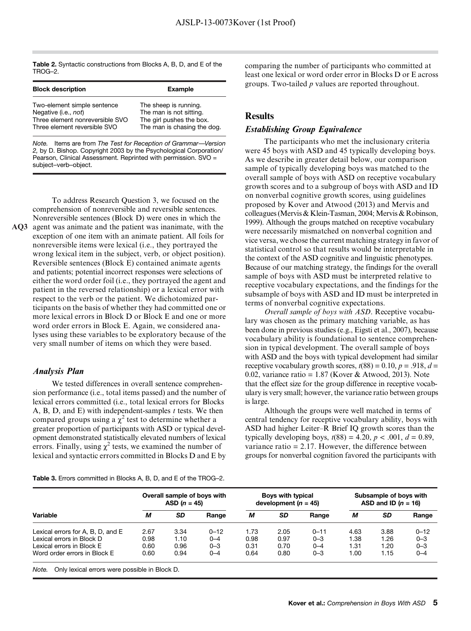Table 2. Syntactic constructions from Blocks A, B, D, and E of the TROG–2.

| <b>Block description</b>        | <b>Example</b>              |
|---------------------------------|-----------------------------|
| Two-element simple sentence     | The sheep is running.       |
| Negative (i.e., not)            | The man is not sitting.     |
| Three element nonreversible SVO | The girl pushes the box.    |
| Three element reversible SVO    | The man is chasing the dog. |

Note. Items are from The Test for Reception of Grammar*—*Version 2, by D. Bishop. Copyright 2003 by the Psychological Corporation/ Pearson, Clinical Assessment. Reprinted with permission. SVO = subject–verb–object.

To address Research Question 3, we focused on the comprehension of nonreversible and reversible sentences. Nonreversible sentences (Block D) were ones in which the AQ3 agent was animate and the patient was inanimate, with the exception of one item with an animate patient. All foils for nonreversible items were lexical (i.e., they portrayed the wrong lexical item in the subject, verb, or object position). Reversible sentences (Block E) contained animate agents and patients; potential incorrect responses were selections of either the word order foil (i.e., they portrayed the agent and patient in the reversed relationship) or a lexical error with respect to the verb or the patient. We dichotomized participants on the basis of whether they had committed one or more lexical errors in Block D or Block E and one or more word order errors in Block E. Again, we considered analyses using these variables to be exploratory because of the very small number of items on which they were based.

#### Analysis Plan

We tested differences in overall sentence comprehension performance (i.e., total items passed) and the number of lexical errors committed (i.e., total lexical errors for Blocks A, B, D, and E) with independent-samples  $t$  tests. We then compared groups using a  $\chi^2$  test to determine whether a greater proportion of participants with ASD or typical development demonstrated statistically elevated numbers of lexical errors. Finally, using  $\chi^2$  tests, we examined the number of lexical and syntactic errors committed in Blocks D and E by

comparing the number of participants who committed at least one lexical or word order error in Blocks D or E across groups. Two-tailed p values are reported throughout.

#### **Results**

#### Establishing Group Equivalence

The participants who met the inclusionary criteria were 45 boys with ASD and 45 typically developing boys. As we describe in greater detail below, our comparison sample of typically developing boys was matched to the overall sample of boys with ASD on receptive vocabulary growth scores and to a subgroup of boys with ASD and ID on nonverbal cognitive growth scores, using guidelines proposed by Kover and Atwood (2013) and Mervis and colleagues (Mervis & Klein-Tasman, 2004; Mervis & Robinson, 1999). Although the groups matched on receptive vocabulary were necessarily mismatched on nonverbal cognition and vice versa, we chose the current matching strategy in favor of statistical control so that results would be interpretable in the context of the ASD cognitive and linguistic phenotypes. Because of our matching strategy, the findings for the overall sample of boys with ASD must be interpreted relative to receptive vocabulary expectations, and the findings for the subsample of boys with ASD and ID must be interpreted in terms of nonverbal cognitive expectations.

Overall sample of boys with ASD. Receptive vocabulary was chosen as the primary matching variable, as has been done in previous studies (e.g., Eigsti et al., 2007), because vocabulary ability is foundational to sentence comprehension in typical development. The overall sample of boys with ASD and the boys with typical development had similar receptive vocabulary growth scores,  $t(88) = 0.10$ ,  $p = .918$ ,  $d =$ 0.02, variance ratio =  $1.87$  (Kover & Atwood, 2013). Note that the effect size for the group difference in receptive vocabulary is very small; however, the variance ratio between groups is large.

Although the groups were well matched in terms of central tendency for receptive vocabulary ability, boys with ASD had higher Leiter–R Brief IQ growth scores than the typically developing boys,  $t(88) = 4.20$ ,  $p < .001$ ,  $d = 0.89$ , variance ratio  $= 2.17$ . However, the difference between groups for nonverbal cognition favored the participants with

Table 3. Errors committed in Blocks A, B, D, and E of the TROG–2.

|                                   |      | Overall sample of boys with<br>ASD $(n = 45)$ |          | <b>Boys with typical</b><br>development ( $n = 45$ ) |           |          | Subsample of boys with<br>ASD and ID $(n = 16)$ |      |          |
|-----------------------------------|------|-----------------------------------------------|----------|------------------------------------------------------|-----------|----------|-------------------------------------------------|------|----------|
| Variable                          | м    | <b>SD</b>                                     | Range    | М                                                    | <b>SD</b> | Range    | М                                               | SD   | Range    |
| Lexical errors for A, B, D, and E | 2.67 | 3.34                                          | $0 - 12$ | 1.73                                                 | 2.05      | $0 - 11$ | 4.63                                            | 3.88 | $0 - 12$ |
| Lexical errors in Block D         | 0.98 | 1.10                                          | $0 - 4$  | 0.98                                                 | 0.97      | $0 - 3$  | 1.38                                            | 1.26 | $0 - 3$  |
| Lexical errors in Block E         | 0.60 | 0.96                                          | $0 - 3$  | 0.31                                                 | 0.70      | $0 - 4$  | 1.31                                            | 1.20 | $0 - 3$  |
| Word order errors in Block E      | 0.60 | 0.94                                          | $0 - 4$  | 0.64                                                 | 0.80      | $0 - 3$  | 1.00                                            | 1.15 | $0 - 4$  |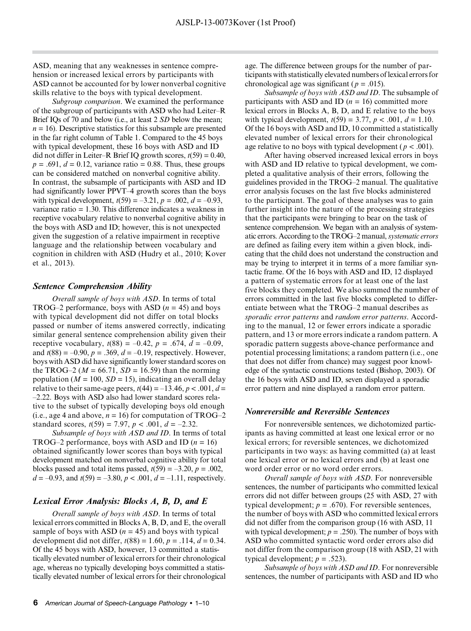ASD, meaning that any weaknesses in sentence comprehension or increased lexical errors by participants with ASD cannot be accounted for by lower nonverbal cognitive skills relative to the boys with typical development.

Subgroup comparison. We examined the performance of the subgroup of participants with ASD who had Leiter–R Brief IQs of 70 and below (i.e., at least 2 SD below the mean;  $n = 16$ ). Descriptive statistics for this subsample are presented in the far right column of Table 1. Compared to the 45 boys with typical development, these 16 boys with ASD and ID did not differ in Leiter–R Brief IO growth scores,  $t(59) = 0.40$ ,  $p = .691, d = 0.12$ , variance ratio = 0.88. Thus, these groups can be considered matched on nonverbal cognitive ability. In contrast, the subsample of participants with ASD and ID had significantly lower PPVT–4 growth scores than the boys with typical development,  $t(59) = -3.21$ ,  $p = .002$ ,  $d = -0.93$ , variance ratio = 1.30. This difference indicates a weakness in receptive vocabulary relative to nonverbal cognitive ability in the boys with ASD and ID; however, this is not unexpected given the suggestion of a relative impairment in receptive language and the relationship between vocabulary and cognition in children with ASD (Hudry et al., 2010; Kover et al., 2013).

#### Sentence Comprehension Ability

Overall sample of boys with ASD. In terms of total TROG–2 performance, boys with ASD  $(n = 45)$  and boys with typical development did not differ on total blocks passed or number of items answered correctly, indicating similar general sentence comprehension ability given their receptive vocabulary,  $t(88) = -0.42$ ,  $p = .674$ ,  $d = -0.09$ , and  $t(88) = -0.90$ ,  $p = .369$ ,  $d = -0.19$ , respectively. However, boys with ASD did have significantly lower standard scores on the TROG–2 ( $M = 66.71$ ,  $SD = 16.59$ ) than the norming population ( $M = 100$ ,  $SD = 15$ ), indicating an overall delay relative to their same-age peers,  $t(44) = -13.46$ ,  $p < .001$ ,  $d =$ –2.22. Boys with ASD also had lower standard scores relative to the subset of typically developing boys old enough (i.e., age 4 and above,  $n = 16$ ) for computation of TROG–2 standard scores,  $t(59) = 7.97$ ,  $p < .001$ ,  $d = -2.32$ .

Subsample of boys with ASD and ID. In terms of total TROG–2 performance, boys with ASD and ID  $(n = 16)$ obtained significantly lower scores than boys with typical development matched on nonverbal cognitive ability for total blocks passed and total items passed,  $t(59) = -3.20$ ,  $p = .002$ ,  $d = -0.93$ , and  $t(59) = -3.80$ ,  $p < .001$ ,  $d = -1.11$ , respectively.

#### Lexical Error Analysis: Blocks A, B, D, and E

Overall sample of boys with ASD. In terms of total lexical errors committed in Blocks A, B, D, and E, the overall sample of boys with ASD  $(n = 45)$  and boys with typical development did not differ,  $t(88) = 1.60$ ,  $p = .114$ ,  $d = 0.34$ . Of the 45 boys with ASD, however, 13 committed a statistically elevated number of lexical errors for their chronological age, whereas no typically developing boys committed a statistically elevated number of lexical errors for their chronological age. The difference between groups for the number of participants with statistically elevated numbers of lexical errors for chronological age was significant ( $p = .015$ ).

Subsample of boys with ASD and ID. The subsample of participants with ASD and ID ( $n = 16$ ) committed more lexical errors in Blocks A, B, D, and E relative to the boys with typical development,  $t(59) = 3.77$ ,  $p < .001$ ,  $d = 1.10$ . Of the 16 boys with ASD and ID, 10 committed a statistically elevated number of lexical errors for their chronological age relative to no boys with typical development ( $p < .001$ ).

After having observed increased lexical errors in boys with ASD and ID relative to typical development, we completed a qualitative analysis of their errors, following the guidelines provided in the TROG–2 manual. The qualitative error analysis focuses on the last five blocks administered to the participant. The goal of these analyses was to gain further insight into the nature of the processing strategies that the participants were bringing to bear on the task of sentence comprehension. We began with an analysis of systematic errors. According to the TROG–2 manual, *systematic errors* are defined as failing every item within a given block, indicating that the child does not understand the construction and may be trying to interpret it in terms of a more familiar syntactic frame. Of the 16 boys with ASD and ID, 12 displayed a pattern of systematic errors for at least one of the last five blocks they completed. We also summed the number of errors committed in the last five blocks completed to differentiate between what the TROG–2 manual describes as sporadic error patterns and random error patterns. According to the manual, 12 or fewer errors indicate a sporadic pattern, and 13 or more errors indicate a random pattern. A sporadic pattern suggests above-chance performance and potential processing limitations; a random pattern (i.e., one that does not differ from chance) may suggest poor knowledge of the syntactic constructions tested (Bishop, 2003). Of the 16 boys with ASD and ID, seven displayed a sporadic error pattern and nine displayed a random error pattern.

#### Nonreversible and Reversible Sentences

For nonreversible sentences, we dichotomized participants as having committed at least one lexical error or no lexical errors; for reversible sentences, we dichotomized participants in two ways: as having committed (a) at least one lexical error or no lexical errors and (b) at least one word order error or no word order errors.

Overall sample of boys with ASD. For nonreversible sentences, the number of participants who committed lexical errors did not differ between groups (25 with ASD, 27 with typical development;  $p = .670$ ). For reversible sentences, the number of boys with ASD who committed lexical errors did not differ from the comparison group (16 with ASD, 11 with typical development;  $p = .250$ ). The number of boys with ASD who committed syntactic word order errors also did not differ from the comparison group (18 with ASD, 21 with typical development;  $p = .523$ ).

Subsample of boys with ASD and ID. For nonreversible sentences, the number of participants with ASD and ID who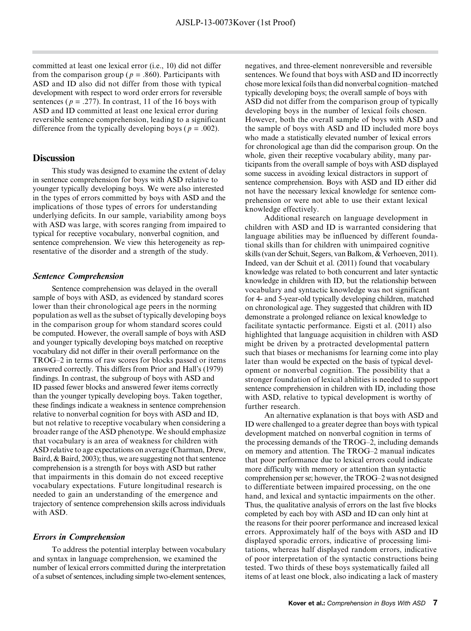committed at least one lexical error (i.e., 10) did not differ from the comparison group ( $p = .860$ ). Participants with ASD and ID also did not differ from those with typical development with respect to word order errors for reversible sentences ( $p = .277$ ). In contrast, 11 of the 16 boys with ASD and ID committed at least one lexical error during reversible sentence comprehension, leading to a significant difference from the typically developing boys ( $p = .002$ ).

#### **Discussion**

This study was designed to examine the extent of delay in sentence comprehension for boys with ASD relative to younger typically developing boys. We were also interested in the types of errors committed by boys with ASD and the implications of those types of errors for understanding underlying deficits. In our sample, variability among boys with ASD was large, with scores ranging from impaired to typical for receptive vocabulary, nonverbal cognition, and sentence comprehension. We view this heterogeneity as representative of the disorder and a strength of the study.

#### Sentence Comprehension

Sentence comprehension was delayed in the overall sample of boys with ASD, as evidenced by standard scores lower than their chronological age peers in the norming population as well as the subset of typically developing boys in the comparison group for whom standard scores could be computed. However, the overall sample of boys with ASD and younger typically developing boys matched on receptive vocabulary did not differ in their overall performance on the TROG–2 in terms of raw scores for blocks passed or items answered correctly. This differs from Prior and Hall's (1979) findings. In contrast, the subgroup of boys with ASD and ID passed fewer blocks and answered fewer items correctly than the younger typically developing boys. Taken together, these findings indicate a weakness in sentence comprehension relative to nonverbal cognition for boys with ASD and ID, but not relative to receptive vocabulary when considering a broader range of the ASD phenotype. We should emphasize that vocabulary is an area of weakness for children with ASD relative to age expectations on average (Charman, Drew, Baird, & Baird, 2003); thus, we are suggesting not that sentence comprehension is a strength for boys with ASD but rather that impairments in this domain do not exceed receptive vocabulary expectations. Future longitudinal research is needed to gain an understanding of the emergence and trajectory of sentence comprehension skills across individuals with ASD.

#### Errors in Comprehension

To address the potential interplay between vocabulary and syntax in language comprehension, we examined the number of lexical errors committed during the interpretation of a subset of sentences, including simple two-element sentences,

negatives, and three-element nonreversible and reversible sentences. We found that boys with ASD and ID incorrectly chose more lexical foils than did nonverbal cognition–matched typically developing boys; the overall sample of boys with ASD did not differ from the comparison group of typically developing boys in the number of lexical foils chosen. However, both the overall sample of boys with ASD and the sample of boys with ASD and ID included more boys who made a statistically elevated number of lexical errors for chronological age than did the comparison group. On the whole, given their receptive vocabulary ability, many participants from the overall sample of boys with ASD displayed some success in avoiding lexical distractors in support of sentence comprehension. Boys with ASD and ID either did not have the necessary lexical knowledge for sentence comprehension or were not able to use their extant lexical knowledge effectively.

Additional research on language development in children with ASD and ID is warranted considering that language abilities may be influenced by different foundational skills than for children with unimpaired cognitive skills (van der Schuit, Segers, van Balkom, & Verhoeven, 2011). Indeed, van der Schuit et al. (2011) found that vocabulary knowledge was related to both concurrent and later syntactic knowledge in children with ID, but the relationship between vocabulary and syntactic knowledge was not significant for 4- and 5-year-old typically developing children, matched on chronological age. They suggested that children with ID demonstrate a prolonged reliance on lexical knowledge to facilitate syntactic performance. Eigsti et al. (2011) also highlighted that language acquisition in children with ASD might be driven by a protracted developmental pattern such that biases or mechanisms for learning come into play later than would be expected on the basis of typical development or nonverbal cognition. The possibility that a stronger foundation of lexical abilities is needed to support sentence comprehension in children with ID, including those with ASD, relative to typical development is worthy of further research.

An alternative explanation is that boys with ASD and ID were challenged to a greater degree than boys with typical development matched on nonverbal cognition in terms of the processing demands of the TROG–2, including demands on memory and attention. The TROG–2 manual indicates that poor performance due to lexical errors could indicate more difficulty with memory or attention than syntactic comprehension per se; however, the TROG–2 was not designed to differentiate between impaired processing, on the one hand, and lexical and syntactic impairments on the other. Thus, the qualitative analysis of errors on the last five blocks completed by each boy with ASD and ID can only hint at the reasons for their poorer performance and increased lexical errors. Approximately half of the boys with ASD and ID displayed sporadic errors, indicative of processing limitations, whereas half displayed random errors, indicative of poor interpretation of the syntactic constructions being tested. Two thirds of these boys systematically failed all items of at least one block, also indicating a lack of mastery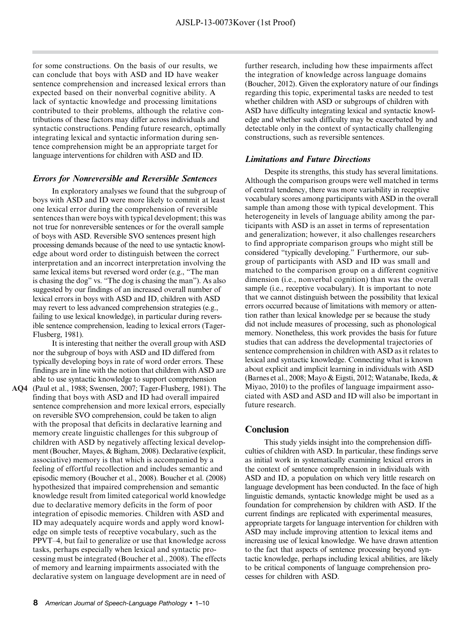for some constructions. On the basis of our results, we can conclude that boys with ASD and ID have weaker sentence comprehension and increased lexical errors than expected based on their nonverbal cognitive ability. A lack of syntactic knowledge and processing limitations contributed to their problems, although the relative contributions of these factors may differ across individuals and syntactic constructions. Pending future research, optimally integrating lexical and syntactic information during sentence comprehension might be an appropriate target for language interventions for children with ASD and ID.

#### Errors for Nonreversible and Reversible Sentences

In exploratory analyses we found that the subgroup of boys with ASD and ID were more likely to commit at least one lexical error during the comprehension of reversible sentences than were boys with typical development; this was not true for nonreversible sentences or for the overall sample of boys with ASD. Reversible SVO sentences present high processing demands because of the need to use syntactic knowledge about word order to distinguish between the correct interpretation and an incorrect interpretation involving the same lexical items but reversed word order (e.g., "The man is chasing the dog" vs. "The dog is chasing the man"). As also suggested by our findings of an increased overall number of lexical errors in boys with ASD and ID, children with ASD may revert to less advanced comprehension strategies (e.g., failing to use lexical knowledge), in particular during reversible sentence comprehension, leading to lexical errors (Tager-Flusberg, 1981).

It is interesting that neither the overall group with ASD nor the subgroup of boys with ASD and ID differed from typically developing boys in rate of word order errors. These findings are in line with the notion that children with ASD are able to use syntactic knowledge to support comprehension

AQ4 (Paul et al., 1988; Swensen, 2007; Tager-Flusberg, 1981). The finding that boys with ASD and ID had overall impaired sentence comprehension and more lexical errors, especially on reversible SVO comprehension, could be taken to align with the proposal that deficits in declarative learning and memory create linguistic challenges for this subgroup of children with ASD by negatively affecting lexical development (Boucher, Mayes, & Bigham, 2008). Declarative (explicit, associative) memory is that which is accompanied by a feeling of effortful recollection and includes semantic and episodic memory (Boucher et al., 2008). Boucher et al. (2008) hypothesized that impaired comprehension and semantic knowledge result from limited categorical world knowledge due to declarative memory deficits in the form of poor integration of episodic memories. Children with ASD and ID may adequately acquire words and apply word knowledge on simple tests of receptive vocabulary, such as the PPVT–4, but fail to generalize or use that knowledge across tasks, perhaps especially when lexical and syntactic processing must be integrated (Boucher et al., 2008). The effects of memory and learning impairments associated with the declarative system on language development are in need of

regarding this topic, experimental tasks are needed to test whether children with ASD or subgroups of children with ASD have difficulty integrating lexical and syntactic knowledge and whether such difficulty may be exacerbated by and detectable only in the context of syntactically challenging constructions, such as reversible sentences. Limitations and Future Directions Despite its strengths, this study has several limitations.

further research, including how these impairments affect the integration of knowledge across language domains (Boucher, 2012). Given the exploratory nature of our findings

Although the comparison groups were well matched in terms of central tendency, there was more variability in receptive vocabulary scores among participants with ASD in the overall sample than among those with typical development. This heterogeneity in levels of language ability among the participants with ASD is an asset in terms of representation and generalization; however, it also challenges researchers to find appropriate comparison groups who might still be considered "typically developing." Furthermore, our subgroup of participants with ASD and ID was small and matched to the comparison group on a different cognitive dimension (i.e., nonverbal cognition) than was the overall sample (i.e., receptive vocabulary). It is important to note that we cannot distinguish between the possibility that lexical errors occurred because of limitations with memory or attention rather than lexical knowledge per se because the study did not include measures of processing, such as phonological memory. Nonetheless, this work provides the basis for future studies that can address the developmental trajectories of sentence comprehension in children with ASD as it relates to lexical and syntactic knowledge. Connecting what is known about explicit and implicit learning in individuals with ASD (Barnes et al., 2008; Mayo & Eigsti, 2012; Watanabe, Ikeda, & Miyao, 2010) to the profiles of language impairment associated with ASD and ASD and ID will also be important in future research.

#### **Conclusion**

This study yields insight into the comprehension difficulties of children with ASD. In particular, these findings serve as initial work in systematically examining lexical errors in the context of sentence comprehension in individuals with ASD and ID, a population on which very little research on language development has been conducted. In the face of high linguistic demands, syntactic knowledge might be used as a foundation for comprehension by children with ASD. If the current findings are replicated with experimental measures, appropriate targets for language intervention for children with ASD may include improving attention to lexical items and increasing use of lexical knowledge. We have drawn attention to the fact that aspects of sentence processing beyond syntactic knowledge, perhaps including lexical abilities, are likely to be critical components of language comprehension processes for children with ASD.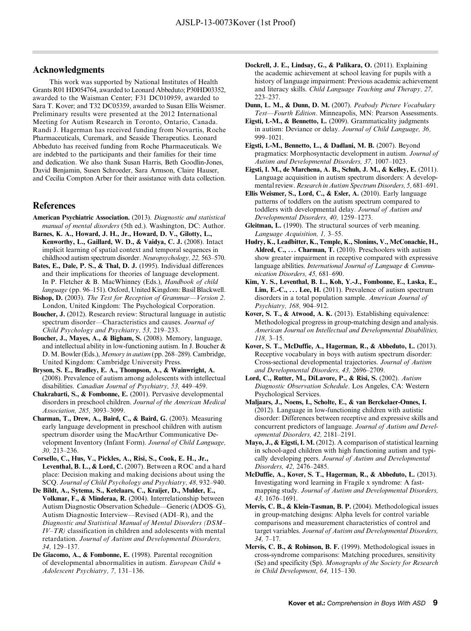#### Acknowledgments

This work was supported by National Institutes of Health Grants R01 HD054764, awarded to Leonard Abbeduto; P30HD03352, awarded to the Waisman Center; F31 DC010959, awarded to Sara T. Kover; and T32 DC05359, awarded to Susan Ellis Weismer. Preliminary results were presented at the 2012 International Meeting for Autism Research in Toronto, Ontario, Canada. Randi J. Hagerman has received funding from Novartis, Roche Pharmaceuticals, Curemark, and Seaside Therapeutics. Leonard Abbeduto has received funding from Roche Pharmaceuticals. We are indebted to the participants and their families for their time and dedication. We also thank Susan Harris, Beth Goodlin-Jones, David Benjamin, Susen Schroeder, Sara Armson, Claire Hauser, and Cecilia Compton Arber for their assistance with data collection.

#### References

- American Psychiatric Association. (2013). Diagnostic and statistical manual of mental disorders (5th ed.). Washington, DC: Author.
- Barnes, K. A., Howard, J. H., Jr., Howard, D. V., Gilotty, L., Kenworthy, L., Gaillard, W. D., & Vaidya, C. J. (2008). Intact implicit learning of spatial context and temporal sequences in childhood autism spectrum disorder. Neuropsychology, 22, 563–570.
- Bates, E., Dale, P. S., & Thal, D. J. (1995). Individual differences and their implications for theories of language development. In P. Fletcher & B. MacWhinney (Eds.), Handbook of child language (pp. 96–151). Oxford, United Kingdom: Basil Blackwell.
- Bishop, D. (2003). The Test for Reception of Grammar-Version 2. London, United Kingdom: The Psychological Corporation.
- Boucher, J. (2012). Research review: Structural language in autistic spectrum disorder—Characteristics and causes. Journal of Child Psychology and Psychiatry, 53, 219–233.
- Boucher, J., Mayes, A., & Bigham, S. (2008). Memory, language, and intellectual ability in low-functioning autism. In J. Boucher & D. M. Bowler (Eds.), Memory in autism (pp. 268–289). Cambridge, United Kingdom: Cambridge University Press.
- Bryson, S. E., Bradley, E. A., Thompson, A., & Wainwright, A. (2008). Prevalence of autism among adolescents with intellectual disabilities. Canadian Journal of Psychiatry, 53, 449–459.
- Chakrabarti, S., & Fombonne, E. (2001). Pervasive developmental disorders in preschool children. Journal of the American Medical Association, 285, 3093–3099.
- Charman, T., Drew, A., Baird, C., & Baird, G. (2003). Measuring early language development in preschool children with autism spectrum disorder using the MacArthur Communicative Development Inventory (Infant Form). Journal of Child Language, 30, 213–236.
- Corsello, C., Hus, V., Pickles, A., Risi, S., Cook, E. H., Jr., Leventhal, B. L., & Lord, C. (2007). Between a ROC and a hard place: Decision making and making decisions about using the SCQ. Journal of Child Psychology and Psychiatry, 48, 932–940.
- De Bildt, A., Sytema, S., Ketelaars, C., Kraijer, D., Mulder, E., Volkmar, F., & Minderaa, R. (2004). Interrelationship between Autism Diagnostic Observation Schedule—Generic (ADOS–G), Autism Diagnostic Interview—Revised (ADI–R), and the Diagnostic and Statistical Manual of Mental Disorders (DSM–  $IV-TR$ ) classification in children and adolescents with mental retardation. Journal of Autism and Developmental Disorders, 34, 129–137.
- De Giacomo, A., & Fombonne, E. (1998). Parental recognition of developmental abnormalities in autism. European Child + Adolescent Psychiatry, 7, 131–136.
- Dockrell, J. E., Lindsay, G., & Palikara, O. (2011). Explaining the academic achievement at school leaving for pupils with a history of language impairment: Previous academic achievement and literacy skills. Child Language Teaching and Therapy, 27, 223–237.
- Dunn, L. M., & Dunn, D. M. (2007). Peabody Picture Vocabulary Test—Fourth Edition. Minneapolis, MN: Pearson Assessments.
- Eigsti, I.-M., & Bennetto, L. (2009). Grammaticality judgments in autism: Deviance or delay. Journal of Child Language, 36, 999–1021.
- Eigsti, I.-M., Bennetto, L., & Dadlani, M. B. (2007). Beyond pragmatics: Morphosyntactic development in autism. Journal of Autism and Developmental Disorders, 37, 1007–1023.
- Eigsti, I. M., de Marchena, A. B., Schuh, J. M., & Kelley, E. (2011). Language acquisition in autism spectrum disorders: A developmental review. Research in Autism Spectrum Disorders, 5, 681–691.
- Ellis Weismer, S., Lord, C., & Esler, A. (2010). Early language patterns of toddlers on the autism spectrum compared to toddlers with developmental delay. Journal of Autism and Developmental Disorders, 40, 1259–1273.
- Gleitman, L. (1990). The structural sources of verb meaning. Language Acquisition, 1, 3–55.
- Hudry, K., Leadbitter, K., Temple, K., Slonims, V., McConachie, H., Aldred, C., ... Charman, T. (2010). Preschoolers with autism show greater impairment in receptive compared with expressive language abilities. International Journal of Language & Communication Disorders, 45, 681–690.
- Kim, Y. S., Leventhal, B. L., Koh, Y.-J., Fombonne, E., Laska, E., Lim, E.-C.,  $\dots$  Lee, H. (2011). Prevalence of autism spectrum disorders in a total population sample. American Journal of Psychiatry, 168, 904–912.
- Kover, S. T., & Atwood, A. K. (2013). Establishing equivalence: Methodological progress in group-matching design and analysis. American Journal on Intellectual and Developmental Disabilities, 118, 3–15.
- Kover, S. T., McDuffie, A., Hagerman, R., & Abbeduto, L. (2013). Receptive vocabulary in boys with autism spectrum disorder: Cross-sectional developmental trajectories. Journal of Autism and Developmental Disorders, 43, 2696–2709.
- Lord, C., Rutter, M., DiLavore, P., & Risi, S. (2002). Autism Diagnostic Observation Schedule. Los Angeles, CA: Western Psychological Services.
- Maljaars, J., Noens, I., Scholte, E., & van Berckelaer-Onnes, I. (2012). Language in low-functioning children with autistic disorder: Differences between receptive and expressive skills and concurrent predictors of language. Journal of Autism and Developmental Disorders, 42, 2181–2191.
- Mayo, J., & Eigsti, I. M. (2012). A comparison of statistical learning in school-aged children with high functioning autism and typically developing peers. Journal of Autism and Developmental Disorders, 42, 2476–2485.
- McDuffie, A., Kover, S. T., Hagerman, R., & Abbeduto, L. (2013). Investigating word learning in Fragile x syndrome: A fastmapping study. Journal of Autism and Developmental Disorders, 43, 1676–1691.
- Mervis, C. B., & Klein-Tasman, B. P. (2004). Methodological issues in group-matching designs: Alpha levels for control variable comparisons and measurement characteristics of control and target variables. Journal of Autism and Developmental Disorders, 34, 7–17.
- Mervis, C. B., & Robinson, B. F. (1999). Methodological issues in cross-syndrome comparisons: Matching procedures, sensitivity (Se) and specificity (Sp). Monographs of the Society for Research in Child Development, 64, 115–130.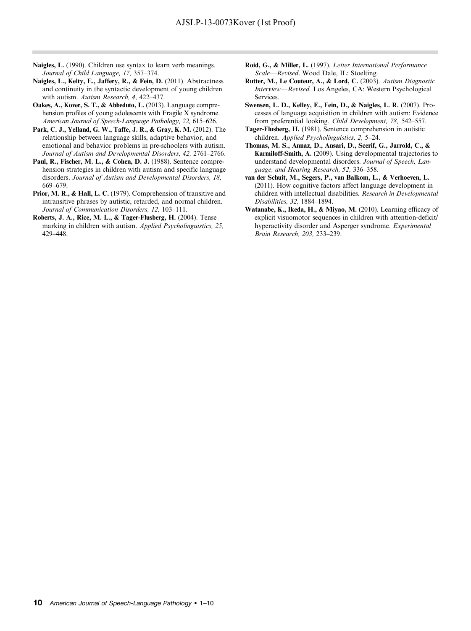- Naigles, L. (1990). Children use syntax to learn verb meanings. Journal of Child Language, 17, 357–374.
- Naigles, L., Kelty, E., Jaffery, R., & Fein, D. (2011). Abstractness and continuity in the syntactic development of young children with autism. Autism Research, 4, 422–437.
- Oakes, A., Kover, S. T., & Abbeduto, L. (2013). Language comprehension profiles of young adolescents with Fragile X syndrome. American Journal of Speech-Language Pathology, 22, 615–626.
- Park, C. J., Yelland, G. W., Taffe, J. R., & Gray, K. M. (2012). The relationship between language skills, adaptive behavior, and emotional and behavior problems in pre-schoolers with autism. Journal of Autism and Developmental Disorders, 42, 2761–2766.
- Paul, R., Fischer, M. L., & Cohen, D. J. (1988). Sentence comprehension strategies in children with autism and specific language disorders. Journal of Autism and Developmental Disorders, 18, 669–679.
- Prior, M. R., & Hall, L. C. (1979). Comprehension of transitive and intransitive phrases by autistic, retarded, and normal children. Journal of Communication Disorders, 12, 103–111.
- Roberts, J. A., Rice, M. L., & Tager-Flusberg, H. (2004). Tense marking in children with autism. Applied Psycholinguistics, 25, 429–448.
- Roid, G., & Miller, L. (1997). Leiter International Performance Scale—Revised. Wood Dale, IL: Stoelting.
- Rutter, M., Le Couteur, A., & Lord, C. (2003). Autism Diagnostic Interview—Revised. Los Angeles, CA: Western Psychological Services.
- Swensen, L. D., Kelley, E., Fein, D., & Naigles, L. R. (2007). Processes of language acquisition in children with autism: Evidence from preferential looking. Child Development, 78, 542–557.
- Tager-Flusberg, H. (1981). Sentence comprehension in autistic children. Applied Psycholinguistics, 2, 5–24.
- Thomas, M. S., Annaz, D., Ansari, D., Scerif, G., Jarrold, C., & Karmiloff-Smith, A. (2009). Using developmental trajectories to understand developmental disorders. Journal of Speech, Language, and Hearing Research, 52, 336–358.
- van der Schuit, M., Segers, P., van Balkom, L., & Verhoeven, L. (2011). How cognitive factors affect language development in children with intellectual disabilities. Research in Developmental Disabilities, 32, 1884–1894.
- Watanabe, K., Ikeda, H., & Miyao, M. (2010). Learning efficacy of explicit visuomotor sequences in children with attention-deficit/ hyperactivity disorder and Asperger syndrome. Experimental Brain Research, 203, 233–239.